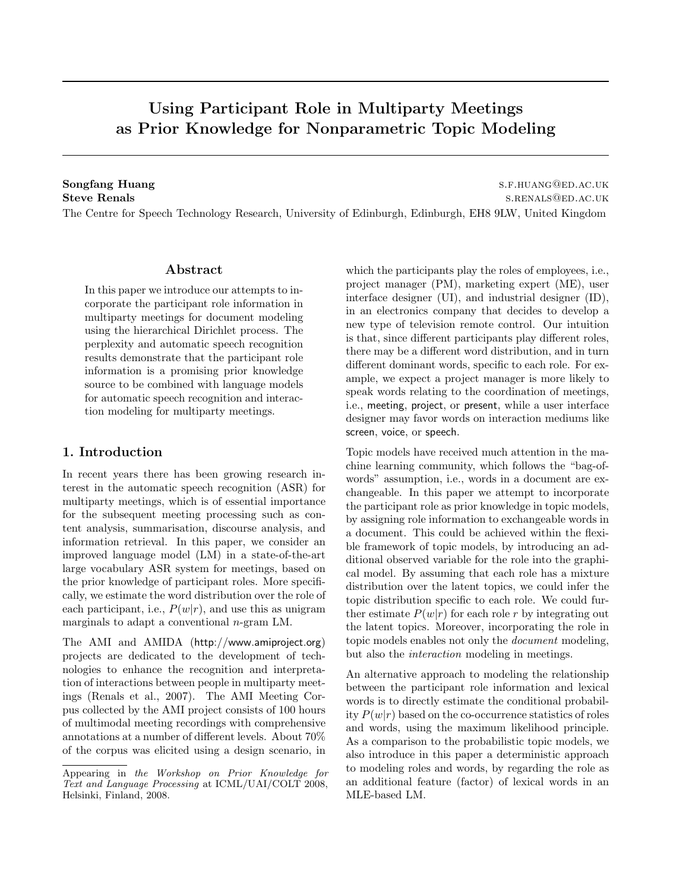# Using Participant Role in Multiparty Meetings as Prior Knowledge for Nonparametric Topic Modeling

# Songfang Huang strategies and the set of the set of the set of the set of the set of the set of the set of the set of the set of the set of the set of the set of the set of the set of the set of the set of the set of the s

Steve Renals s.renals s.renals s.renals s.renals s.renals s.renals s.renals s.renals s.renals s.renals s.renals s.renal s.renal s.renal s.renal s.renal s.renal s.renal s.renal s.renal s.renal s.renal s.renal s.renal s.rena The Centre for Speech Technology Research, University of Edinburgh, Edinburgh, EH8 9LW, United Kingdom

#### Abstract

In this paper we introduce our attempts to incorporate the participant role information in multiparty meetings for document modeling using the hierarchical Dirichlet process. The perplexity and automatic speech recognition results demonstrate that the participant role information is a promising prior knowledge source to be combined with language models for automatic speech recognition and interaction modeling for multiparty meetings.

# 1. Introduction

In recent years there has been growing research interest in the automatic speech recognition (ASR) for multiparty meetings, which is of essential importance for the subsequent meeting processing such as content analysis, summarisation, discourse analysis, and information retrieval. In this paper, we consider an improved language model (LM) in a state-of-the-art large vocabulary ASR system for meetings, based on the prior knowledge of participant roles. More specifically, we estimate the word distribution over the role of each participant, i.e.,  $P(w|r)$ , and use this as unigram marginals to adapt a conventional n-gram LM.

The AMI and AMIDA (http://www.amiproject.org) projects are dedicated to the development of technologies to enhance the recognition and interpretation of interactions between people in multiparty meetings (Renals et al., 2007). The AMI Meeting Corpus collected by the AMI project consists of 100 hours of multimodal meeting recordings with comprehensive annotations at a number of different levels. About 70% of the corpus was elicited using a design scenario, in which the participants play the roles of employees, i.e., project manager (PM), marketing expert (ME), user interface designer (UI), and industrial designer (ID), in an electronics company that decides to develop a new type of television remote control. Our intuition is that, since different participants play different roles, there may be a different word distribution, and in turn different dominant words, specific to each role. For example, we expect a project manager is more likely to speak words relating to the coordination of meetings, i.e., meeting, project, or present, while a user interface designer may favor words on interaction mediums like screen, voice, or speech.

Topic models have received much attention in the machine learning community, which follows the "bag-ofwords" assumption, i.e., words in a document are exchangeable. In this paper we attempt to incorporate the participant role as prior knowledge in topic models, by assigning role information to exchangeable words in a document. This could be achieved within the flexible framework of topic models, by introducing an additional observed variable for the role into the graphical model. By assuming that each role has a mixture distribution over the latent topics, we could infer the topic distribution specific to each role. We could further estimate  $P(w|r)$  for each role r by integrating out the latent topics. Moreover, incorporating the role in topic models enables not only the *document* modeling, but also the interaction modeling in meetings.

An alternative approach to modeling the relationship between the participant role information and lexical words is to directly estimate the conditional probability  $P(w|r)$  based on the co-occurrence statistics of roles and words, using the maximum likelihood principle. As a comparison to the probabilistic topic models, we also introduce in this paper a deterministic approach to modeling roles and words, by regarding the role as an additional feature (factor) of lexical words in an MLE-based LM.

Appearing in the Workshop on Prior Knowledge for Text and Language Processing at ICML/UAI/COLT 2008, Helsinki, Finland, 2008.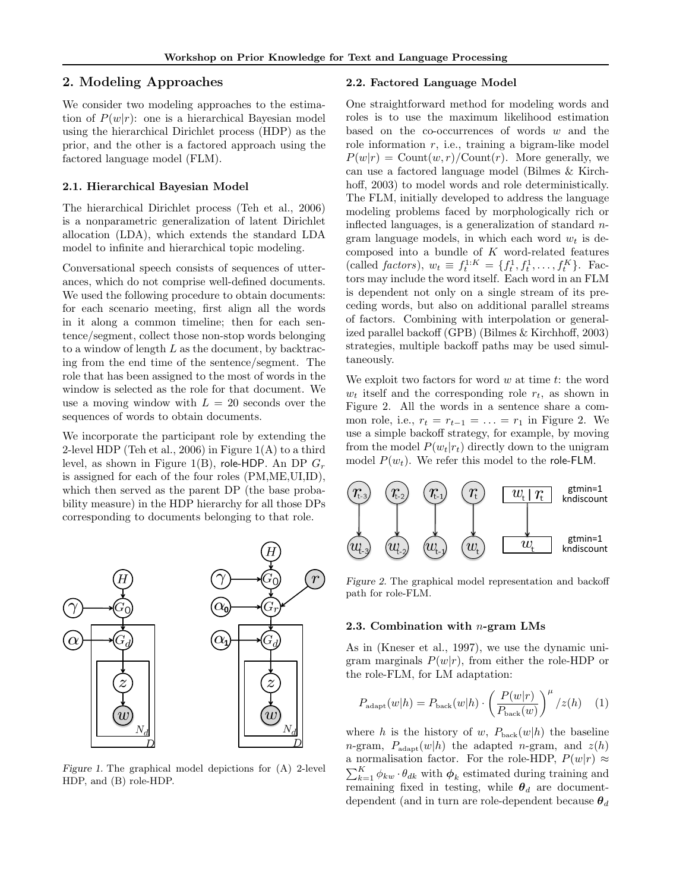# 2. Modeling Approaches

We consider two modeling approaches to the estimation of  $P(w|r)$ : one is a hierarchical Bayesian model using the hierarchical Dirichlet process (HDP) as the prior, and the other is a factored approach using the factored language model (FLM).

#### 2.1. Hierarchical Bayesian Model

The hierarchical Dirichlet process (Teh et al., 2006) is a nonparametric generalization of latent Dirichlet allocation (LDA), which extends the standard LDA model to infinite and hierarchical topic modeling.

Conversational speech consists of sequences of utterances, which do not comprise well-defined documents. We used the following procedure to obtain documents: for each scenario meeting, first align all the words in it along a common timeline; then for each sentence/segment, collect those non-stop words belonging to a window of length  $L$  as the document, by backtracing from the end time of the sentence/segment. The role that has been assigned to the most of words in the window is selected as the role for that document. We use a moving window with  $L = 20$  seconds over the sequences of words to obtain documents.

We incorporate the participant role by extending the 2-level HDP (Teh et al., 2006) in Figure  $1(A)$  to a third level, as shown in Figure 1(B), role-HDP. An DP  $G_r$ is assigned for each of the four roles (PM,ME,UI,ID), which then served as the parent DP (the base probability measure) in the HDP hierarchy for all those DPs corresponding to documents belonging to that role.



Figure 1. The graphical model depictions for (A) 2-level HDP, and (B) role-HDP.

# 2.2. Factored Language Model

One straightforward method for modeling words and roles is to use the maximum likelihood estimation based on the co-occurrences of words  $w$  and the role information  $r$ , i.e., training a bigram-like model  $P(w|r) = \text{Count}(w,r)/\text{Count}(r)$ . More generally, we can use a factored language model (Bilmes & Kirchhoff, 2003) to model words and role deterministically. The FLM, initially developed to address the language modeling problems faced by morphologically rich or inflected languages, is a generalization of standard ngram language models, in which each word  $w_t$  is decomposed into a bundle of  $K$  word-related features (called *factors*),  $w_t \equiv f_t^{1:K} = \{f_t^1, f_t^1, \dots, f_t^K\}$ . Factors may include the word itself. Each word in an FLM is dependent not only on a single stream of its preceding words, but also on additional parallel streams of factors. Combining with interpolation or generalized parallel backoff (GPB) (Bilmes & Kirchhoff, 2003) strategies, multiple backoff paths may be used simultaneously.

We exploit two factors for word  $w$  at time  $t$ : the word  $w_t$  itself and the corresponding role  $r_t$ , as shown in Figure 2. All the words in a sentence share a common role, i.e.,  $r_t = r_{t-1} = \ldots = r_1$  in Figure 2. We use a simple backoff strategy, for example, by moving from the model  $P(w_t|r_t)$  directly down to the unigram model  $P(w_t)$ . We refer this model to the role-FLM.



Figure 2. The graphical model representation and backoff path for role-FLM.

#### 2.3. Combination with n-gram LMs

As in (Kneser et al., 1997), we use the dynamic unigram marginals  $P(w|r)$ , from either the role-HDP or the role-FLM, for LM adaptation:

$$
P_{\text{adapt}}(w|h) = P_{\text{back}}(w|h) \cdot \left(\frac{P(w|r)}{P_{\text{back}}(w)}\right)^{\mu} / z(h) \quad (1)
$$

where h is the history of w,  $P_{\text{back}}(w|h)$  the baseline *n*-gram,  $P_{\text{adapt}}(w|h)$  the adapted *n*-gram, and  $z(h)$ a normalisation factor. For the role-HDP,  $P(w|r) \approx$  $\sum_{k=1}^{K} \phi_{kw} \cdot \theta_{dk}$  with  $\phi_k$  estimated during training and remaining fixed in testing, while  $\theta_d$  are documentdependent (and in turn are role-dependent because  $\theta_d$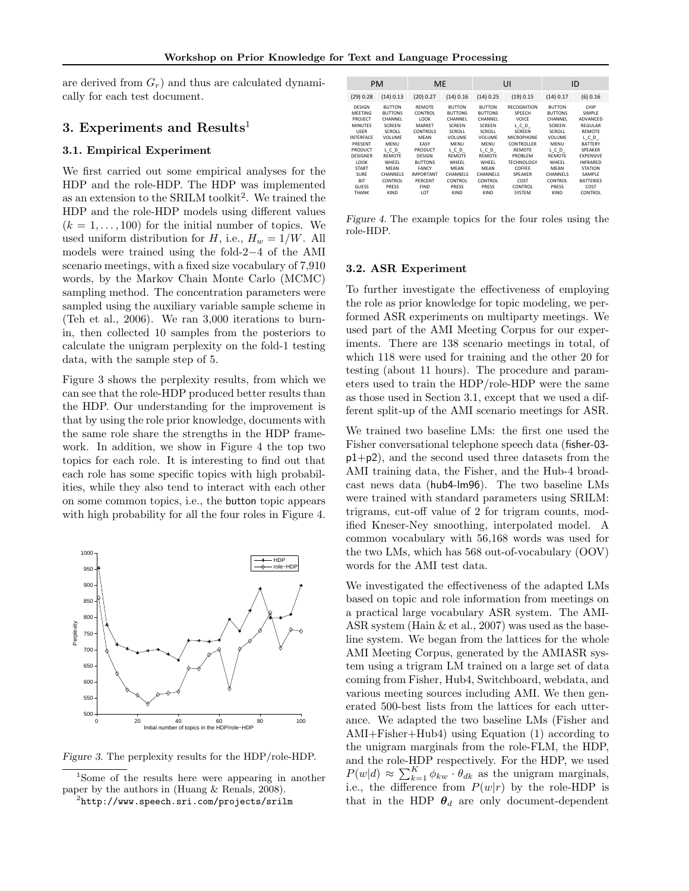are derived from  $G_r$ ) and thus are calculated dynamically for each test document.

# 3. Experiments and  $Results<sup>1</sup>$

#### 3.1. Empirical Experiment

We first carried out some empirical analyses for the HDP and the role-HDP. The HDP was implemented as an extension to the SRILM toolkit<sup>2</sup>. We trained the HDP and the role-HDP models using different values  $(k = 1, \ldots, 100)$  for the initial number of topics. We used uniform distribution for H, i.e.,  $H_w = 1/W$ . All models were trained using the fold-2−4 of the AMI scenario meetings, with a fixed size vocabulary of 7,910 words, by the Markov Chain Monte Carlo (MCMC) sampling method. The concentration parameters were sampled using the auxiliary variable sample scheme in (Teh et al., 2006). We ran 3,000 iterations to burnin, then collected 10 samples from the posteriors to calculate the unigram perplexity on the fold-1 testing data, with the sample step of 5.

Figure 3 shows the perplexity results, from which we can see that the role-HDP produced better results than the HDP. Our understanding for the improvement is that by using the role prior knowledge, documents with the same role share the strengths in the HDP framework. In addition, we show in Figure 4 the top two topics for each role. It is interesting to find out that each role has some specific topics with high probabilities, while they also tend to interact with each other on some common topics, i.e., the button topic appears with high probability for all the four roles in Figure 4.



Figure 3. The perplexity results for the HDP/role-HDP.

| <b>PM</b>                                                                                                                                                                                       |                                                                                                                                                                                         | <b>ME</b>                                                                                                                                                                                 |                                                                                                                                                                                         | UI                                                                                                                                                                                      |                                                                                                                                                                                                    | ID                                                                                                                                                                                                           |                                                                                                                                                                                                            |
|-------------------------------------------------------------------------------------------------------------------------------------------------------------------------------------------------|-----------------------------------------------------------------------------------------------------------------------------------------------------------------------------------------|-------------------------------------------------------------------------------------------------------------------------------------------------------------------------------------------|-----------------------------------------------------------------------------------------------------------------------------------------------------------------------------------------|-----------------------------------------------------------------------------------------------------------------------------------------------------------------------------------------|----------------------------------------------------------------------------------------------------------------------------------------------------------------------------------------------------|--------------------------------------------------------------------------------------------------------------------------------------------------------------------------------------------------------------|------------------------------------------------------------------------------------------------------------------------------------------------------------------------------------------------------------|
| (29) 0.28                                                                                                                                                                                       | (14) 0.13                                                                                                                                                                               | (20) 0.27                                                                                                                                                                                 | (14) 0.16                                                                                                                                                                               | (14) 0.25                                                                                                                                                                               | (19) 0.15                                                                                                                                                                                          | (14) 0.17                                                                                                                                                                                                    | (6) 0.16                                                                                                                                                                                                   |
| DESIGN<br><b>MFFTING</b><br>PROJECT<br><b>MINUTES</b><br><b>USER</b><br><b>INTERFACE</b><br>PRESENT<br>PRODUCT<br><b>DESIGNER</b><br>100K<br><b>START</b><br><b>SURE</b><br><b>BIT</b><br>GUESS | <b>BUTTON</b><br><b>BUTTONS</b><br>CHANNEL<br><b>SCREEN</b><br>SCROLL<br><b>VOLUME</b><br><b>MENU</b><br>L C D<br><b>REMOTE</b><br>WHEEL<br>MFAN<br><b>CHANNELS</b><br>CONTROL<br>PRESS | <b>REMOTE</b><br>CONTROL<br>LOOK<br>MARKFT<br>CONTROLS<br><b>MEAN</b><br>FASY<br>PRODUCT<br><b>DESIGN</b><br><b>BUTTONS</b><br><b>FANCY</b><br><b>IMPORTANT</b><br>PERCENT<br><b>FIND</b> | <b>BUTTON</b><br><b>BUTTONS</b><br>CHANNEL<br><b>SCREEN</b><br>SCROLL<br><b>VOLUME</b><br><b>MENU</b><br>L C D<br><b>RFMOTF</b><br>WHEEL<br>MFAN<br><b>CHANNELS</b><br>CONTROL<br>PRESS | <b>BUTTON</b><br><b>BUTTONS</b><br>CHANNEL<br><b>SCREEN</b><br>SCROLL<br><b>VOLUME</b><br>MENU<br>L C D<br><b>REMOTE</b><br><b>WHFFI</b><br>MFAN<br><b>CHANNELS</b><br>CONTROL<br>PRESS | <b>RECOGNITION</b><br>SPEECH<br>VOICE<br>L C D<br><b>SCREEN</b><br><b>MICROPHONE</b><br><b>CONTROLLER</b><br>REMOTE<br>PROBLEM<br><b>TECHNOLOGY</b><br>COFFEE<br><b>SPFAKER</b><br>COST<br>CONTROL | <b>BUTTON</b><br><b>BUTTONS</b><br>CHANNEL<br><b>SCREEN</b><br><b>SCROLL</b><br><b>VOLUME</b><br><b>MENU</b><br>L C D<br><b>REMOTE</b><br><b>WHFFI</b><br><b>MFAN</b><br><b>CHANNELS</b><br>CONTROL<br>PRESS | CHIP<br>SIMPLE<br>ADVANCED<br><b>REGULAR</b><br><b>REMOTE</b><br>L C D<br><b>BATTERY</b><br><b>SPFAKER</b><br><b>FXPFNSIVF</b><br><b>INFRARED</b><br><b>STATION</b><br>SAMPI F<br><b>BATTERIES</b><br>COST |
| <b>THANK</b>                                                                                                                                                                                    | <b>KIND</b>                                                                                                                                                                             | LOT                                                                                                                                                                                       | <b>KIND</b>                                                                                                                                                                             | <b>KIND</b>                                                                                                                                                                             | SYSTEM                                                                                                                                                                                             | <b>KIND</b>                                                                                                                                                                                                  | CONTROL                                                                                                                                                                                                    |
|                                                                                                                                                                                                 |                                                                                                                                                                                         |                                                                                                                                                                                           |                                                                                                                                                                                         |                                                                                                                                                                                         |                                                                                                                                                                                                    |                                                                                                                                                                                                              |                                                                                                                                                                                                            |

Figure 4. The example topics for the four roles using the role-HDP.

#### 3.2. ASR Experiment

To further investigate the effectiveness of employing the role as prior knowledge for topic modeling, we performed ASR experiments on multiparty meetings. We used part of the AMI Meeting Corpus for our experiments. There are 138 scenario meetings in total, of which 118 were used for training and the other 20 for testing (about 11 hours). The procedure and parameters used to train the HDP/role-HDP were the same as those used in Section 3.1, except that we used a different split-up of the AMI scenario meetings for ASR.

We trained two baseline LMs: the first one used the Fisher conversational telephone speech data (fisher-03 p1+p2), and the second used three datasets from the AMI training data, the Fisher, and the Hub-4 broadcast news data (hub4-lm96). The two baseline LMs were trained with standard parameters using SRILM: trigrams, cut-off value of 2 for trigram counts, modified Kneser-Ney smoothing, interpolated model. A common vocabulary with 56,168 words was used for the two LMs, which has 568 out-of-vocabulary (OOV) words for the AMI test data.

We investigated the effectiveness of the adapted LMs based on topic and role information from meetings on a practical large vocabulary ASR system. The AMI-ASR system (Hain & et al., 2007) was used as the baseline system. We began from the lattices for the whole AMI Meeting Corpus, generated by the AMIASR system using a trigram LM trained on a large set of data coming from Fisher, Hub4, Switchboard, webdata, and various meeting sources including AMI. We then generated 500-best lists from the lattices for each utterance. We adapted the two baseline LMs (Fisher and AMI+Fisher+Hub4) using Equation (1) according to the unigram marginals from the role-FLM, the HDP, and the role-HDP respectively. For the HDP, we used  $P(w|d) \approx \sum_{k=1}^{K} \phi_{kw} \cdot \theta_{dk}$  as the unigram marginals, i.e., the difference from  $P(w|r)$  by the role-HDP is that in the HDP  $\theta_d$  are only document-dependent

<sup>&</sup>lt;sup>1</sup>Some of the results here were appearing in another paper by the authors in (Huang & Renals, 2008).

 $^{2}$ http://www.speech.sri.com/projects/srilm